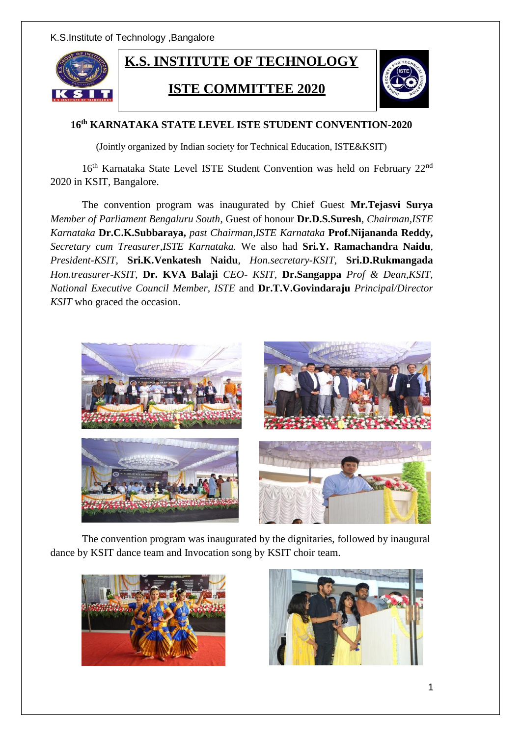K.S.Institute of Technology ,Bangalore



## **16th KARNATAKA STATE LEVEL ISTE STUDENT CONVENTION-2020**

(Jointly organized by Indian society for Technical Education, ISTE&KSIT)

16<sup>th</sup> Karnataka State Level ISTE Student Convention was held on February 22<sup>nd</sup> 2020 in KSIT, Bangalore.

The convention program was inaugurated by Chief Guest **Mr.Tejasvi Surya**  *Member of Parliament Bengaluru South*, Guest of honour **Dr.D.S.Suresh**, *Chairman,ISTE Karnataka* **Dr.C.K.Subbaraya,** *past Chairman,ISTE Karnataka* **Prof.Nijananda Reddy,**  *Secretary cum Treasurer,ISTE Karnataka.* We also had **Sri.Y. Ramachandra Naidu**, *President-KSIT*, **Sri.K.Venkatesh Naidu**, *Hon.secretary-KSIT,* **Sri.D.Rukmangada**  *Hon.treasurer-KSIT,* **Dr. KVA Balaji** *CEO- KSIT,* **Dr.Sangappa** *Prof & Dean,KSIT, National Executive Council Member, ISTE* and **Dr.T.V.Govindaraju** *Principal/Director KSIT* who graced the occasion.



The convention program was inaugurated by the dignitaries, followed by inaugural dance by KSIT dance team and Invocation song by KSIT choir team.



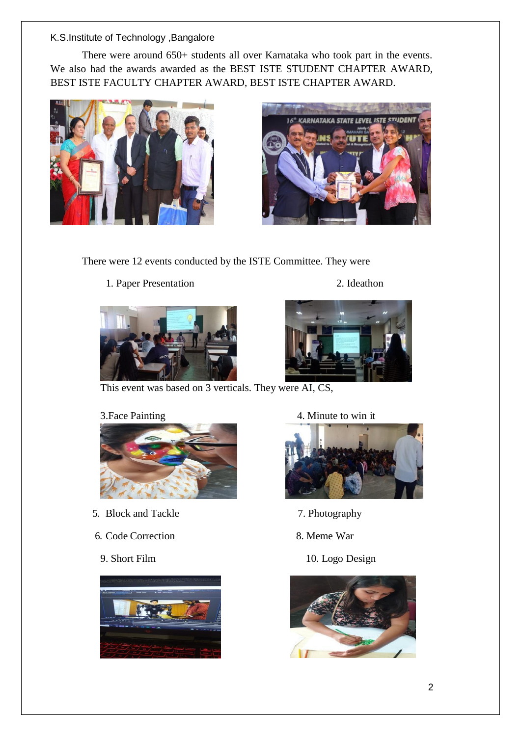### K.S.Institute of Technology ,Bangalore

There were around 650+ students all over Karnataka who took part in the events. We also had the awards awarded as the BEST ISTE STUDENT CHAPTER AWARD, BEST ISTE FACULTY CHAPTER AWARD, BEST ISTE CHAPTER AWARD.





There were 12 events conducted by the ISTE Committee. They were

1. Paper Presentation 2. Ideathon





This event was based on 3 verticals. They were AI, CS,



- 5. Block and Tackle 7. Photography
- 6. Code Correction 8. Meme War
	-



3. Face Painting 4. Minute to win it



- 
- 
- 9. Short Film 10. Logo Design